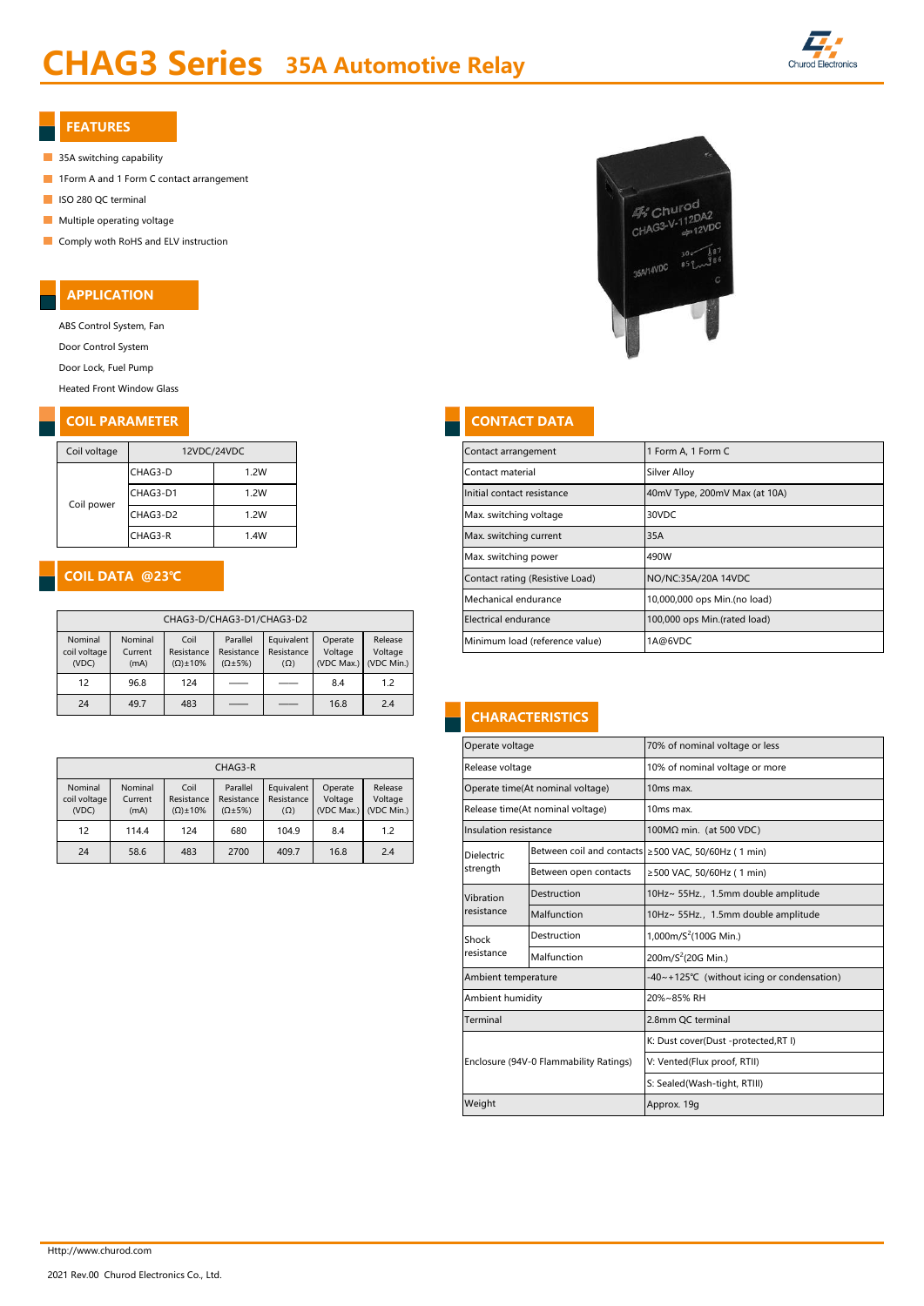## CHAG3 Series 35A Automotive Relay



#### FEATURES

- 35A switching capability
- **1Form A and 1 Form C contact arrangement**
- ISO 280 QC terminal
- **Multiple operating voltage**
- **Comply woth RoHS and ELV instruction**

#### APPLICATION

ABS Control System, Fan

Door Control System

Door Lock, Fuel Pump

Heated Front Window Glass

#### **COIL PARAMETER CONTACT DATA**

| Coil voltage | 12VDC/24VDC |      |  |  |  |  |  |
|--------------|-------------|------|--|--|--|--|--|
|              | CHAG3-D     | 1.2W |  |  |  |  |  |
| Coil power   | CHAG3-D1    | 1.2W |  |  |  |  |  |
|              | CHAG3-D2    | 1.2W |  |  |  |  |  |
|              | CHAG3-R     | 1.4W |  |  |  |  |  |

#### COIL DATA @23℃

| CHAG3-D/CHAG3-D1/CHAG3-D2        |                            |                                           |                                              |                                        |                                  |                                  |  |  |  |  |  |
|----------------------------------|----------------------------|-------------------------------------------|----------------------------------------------|----------------------------------------|----------------------------------|----------------------------------|--|--|--|--|--|
| Nominal<br>coil voltage<br>(VDC) | Nominal<br>Current<br>(mA) | Coil<br>Resistance<br>$(\Omega) \pm 10\%$ | Parallel<br>Resistance<br>$(\Omega \pm 5\%)$ | Equivalent<br>Resistance<br>$(\Omega)$ | Operate<br>Voltage<br>(VDC Max.) | Release<br>Voltage<br>(VDC Min.) |  |  |  |  |  |
| 12                               | 96.8                       | 124                                       |                                              |                                        | 8.4                              | 1.2                              |  |  |  |  |  |
| 24                               | 49.7                       | 483                                       |                                              |                                        | 16.8                             | 2.4                              |  |  |  |  |  |

| CHAG3-R |                         |                                          |                     |                                                               |            |      |                                  | Release voltage |                       | 10% of nominal voltage or |                                                     |  |                                             |  |  |  |  |  |  |                                  |                       |
|---------|-------------------------|------------------------------------------|---------------------|---------------------------------------------------------------|------------|------|----------------------------------|-----------------|-----------------------|---------------------------|-----------------------------------------------------|--|---------------------------------------------|--|--|--|--|--|--|----------------------------------|-----------------------|
|         | Nominal<br>coil voltage | Nominal<br>Coil<br>Resistance<br>Current |                     | Parallel<br>Equivalent<br>Operate<br>Resistance<br>Resistance |            |      |                                  |                 | Release               |                           |                                                     |  | Voltage<br>Voltage<br>(VDC Max.) (VDC Min.) |  |  |  |  |  |  | Operate time(At nominal voltage) | 10 <sub>ms</sub> max. |
|         | (VDC)                   | (mA)                                     | $(\Omega) \pm 10\%$ | $(\Omega \pm 5\%)$                                            | $(\Omega)$ |      | Release time(At nominal voltage) |                 | 10ms max.             |                           |                                                     |  |                                             |  |  |  |  |  |  |                                  |                       |
|         | 12                      | 114.4                                    | 124                 | 680                                                           | 104.9      | 8.4  | $\overline{2}$                   |                 | Insulation resistance |                           | $100M\Omega$ min. (at 500 VDC)                      |  |                                             |  |  |  |  |  |  |                                  |                       |
|         | 24                      | 58.6                                     | 483                 | 2700                                                          | 409.7      | 16.8 | 2.4                              |                 | <b>Dielectric</b>     |                           | Between coil and contacts ≥500 VAC, 50/60Hz (1 min) |  |                                             |  |  |  |  |  |  |                                  |                       |

# $46$  Churod  $4%$ Churog<br>CHAG3-V-112DA2  $2VD<sup>2</sup>$ 35A/14VDC

| Coil voltage                |                           |                                          | 12VDC/24VDC                  |            |                                 |                              | Contact arrangement            | I Form A, 1 Form C            |
|-----------------------------|---------------------------|------------------------------------------|------------------------------|------------|---------------------------------|------------------------------|--------------------------------|-------------------------------|
|                             | CHAG3-D                   |                                          | 1.2W                         |            |                                 |                              | Contact material               | Silver Alloy                  |
| Coil power                  | CHAG3-D1                  |                                          | 1.2W                         |            |                                 |                              | Initial contact resistance     | 40mV Type, 200mV Max (at 10A) |
|                             | CHAG3-D2                  |                                          | 1.2W                         |            |                                 |                              | Max. switching voltage         | 30VDC                         |
|                             | CHAG3-R                   |                                          | 1.4W                         |            |                                 |                              | Max. switching current         | 35A                           |
|                             |                           |                                          |                              |            |                                 | Max. switching power         | 490W                           |                               |
|                             |                           |                                          |                              |            | Contact rating (Resistive Load) | NO/NC:35A/20A 14VDC          |                                |                               |
|                             |                           |                                          |                              |            | Mechanical endurance            | 10,000,000 ops Min.(no load) |                                |                               |
| CHAG3-D/CHAG3-D1/CHAG3-D2   |                           | Electrical endurance                     | 100,000 ops Min.(rated load) |            |                                 |                              |                                |                               |
| Nominal<br>المعمولا مبدائما | Nominal<br>C <sub>1</sub> | Coil<br>Besistance Besistance Besistance | Parallel                     | Equivalent | Operate<br>$\lambda$ /altaga    | Release<br>$\lambda$ /altasa | Minimum load (reference value) | 1A@6VDC                       |

#### **CHARACTERISTICS**

|                        |                          |                    | Operate voltage    |                                  | 70% of nominal voltage or less         |                                                     |  |  |
|------------------------|--------------------------|--------------------|--------------------|----------------------------------|----------------------------------------|-----------------------------------------------------|--|--|
| CHAG3-R                |                          |                    |                    | Release voltage                  |                                        | 10% of nominal voltage or more                      |  |  |
| Parallel<br>Resistance | Equivalent<br>Resistance | Operate<br>Voltage | Release<br>Voltage | Operate time(At nominal voltage) |                                        | 10 <sub>ms</sub> max.                               |  |  |
| $(\Omega \pm 5\%)$     | $(\Omega)$               | (VDC Max.)         | (VDC Min.)         | Release time(At nominal voltage) |                                        | 10ms max.                                           |  |  |
| 680                    | 104.9                    | 8.4                | 1.2                | Insulation resistance            |                                        | 100MΩ min. (at 500 VDC)                             |  |  |
| 2700                   | 409.7                    | 16.8               | 2.4                | <b>Dielectric</b>                |                                        | Between coil and contacts ≥500 VAC, 50/60Hz (1 min) |  |  |
|                        |                          |                    |                    | strength                         | Between open contacts                  | ≥500 VAC, 50/60Hz (1 min)                           |  |  |
|                        |                          |                    |                    | Vibration                        | Destruction                            | 10Hz~ 55Hz., 1.5mm double amplitude                 |  |  |
|                        |                          |                    |                    | resistance                       | Malfunction                            | 10Hz~ 55Hz., 1.5mm double amplitude                 |  |  |
|                        |                          |                    |                    | Destruction<br>Shock             |                                        | 1,000m/ $S^2$ (100G Min.)                           |  |  |
|                        |                          |                    |                    | resistance                       | Malfunction                            | 200m/S <sup>2</sup> (20G Min.)                      |  |  |
|                        |                          |                    |                    | Ambient temperature              |                                        | -40~+125℃ (without icing or condensation)           |  |  |
|                        |                          |                    |                    | Ambient humidity                 |                                        | 20%~85% RH                                          |  |  |
|                        |                          |                    |                    | Terminal                         |                                        | 2.8mm QC terminal                                   |  |  |
|                        |                          |                    |                    |                                  |                                        | K: Dust cover(Dust -protected, RT I)                |  |  |
|                        |                          |                    |                    |                                  | Enclosure (94V-0 Flammability Ratings) | V: Vented(Flux proof, RTII)                         |  |  |
|                        |                          |                    |                    |                                  |                                        | S: Sealed(Wash-tight, RTIII)                        |  |  |
|                        |                          |                    |                    | Weight                           |                                        | Approx. 19g                                         |  |  |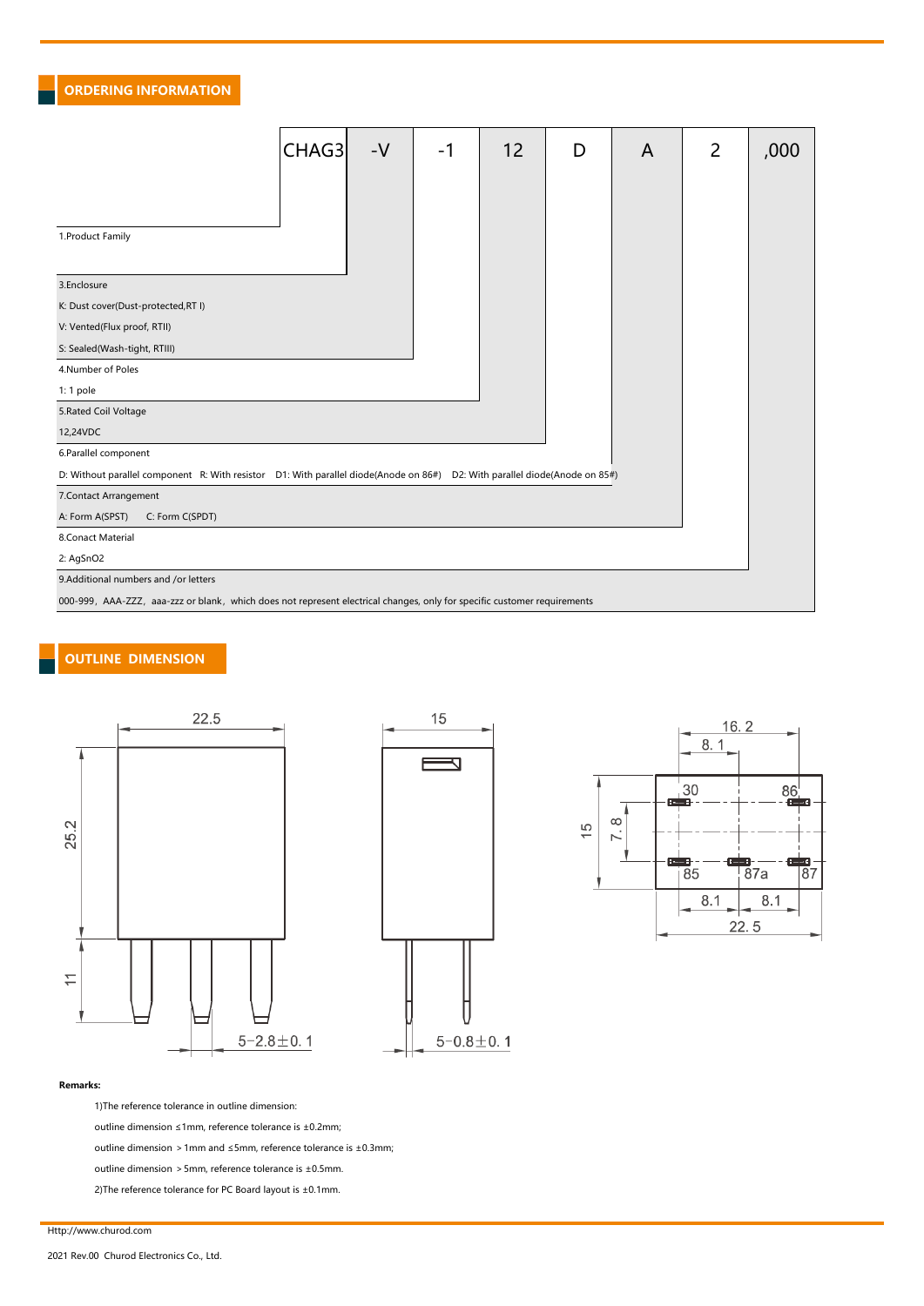#### ORDERING INFORMATION

|                                                                                                                            | CHAG3 | $-V$ | -1 | 12 | D | A | 2 | ,000 |
|----------------------------------------------------------------------------------------------------------------------------|-------|------|----|----|---|---|---|------|
|                                                                                                                            |       |      |    |    |   |   |   |      |
|                                                                                                                            |       |      |    |    |   |   |   |      |
| 1. Product Family                                                                                                          |       |      |    |    |   |   |   |      |
| 3.Enclosure                                                                                                                |       |      |    |    |   |   |   |      |
| K: Dust cover(Dust-protected, RT I)                                                                                        |       |      |    |    |   |   |   |      |
| V: Vented(Flux proof, RTII)                                                                                                |       |      |    |    |   |   |   |      |
| S: Sealed(Wash-tight, RTIII)                                                                                               |       |      |    |    |   |   |   |      |
| 4.Number of Poles                                                                                                          |       |      |    |    |   |   |   |      |
| 1:1 pole                                                                                                                   |       |      |    |    |   |   |   |      |
| 5. Rated Coil Voltage                                                                                                      |       |      |    |    |   |   |   |      |
| 12,24VDC                                                                                                                   |       |      |    |    |   |   |   |      |
| 6.Parallel component                                                                                                       |       |      |    |    |   |   |   |      |
| D: Without parallel component R: With resistor D1: With parallel diode(Anode on 86#) D2: With parallel diode(Anode on 85#) |       |      |    |    |   |   |   |      |
| 7. Contact Arrangement                                                                                                     |       |      |    |    |   |   |   |      |
| A: Form A(SPST)<br>C: Form C(SPDT)                                                                                         |       |      |    |    |   |   |   |      |
| 8.Conact Material                                                                                                          |       |      |    |    |   |   |   |      |
| 2: AgSnO2                                                                                                                  |       |      |    |    |   |   |   |      |
| 9.Additional numbers and /or letters                                                                                       |       |      |    |    |   |   |   |      |
| 000-999, AAA-ZZZ, aaa-zzz or blank, which does not represent electrical changes, only for specific customer requirements   |       |      |    |    |   |   |   |      |

### OUTLINE DIMENSION







#### Remarks:

1)The reference tolerance in outline dimension:

outline dimension ≤1mm, reference tolerance is ±0.2mm;

outline dimension >1mm and ≤5mm, reference tolerance is ±0.3mm;

outline dimension  $>5$ mm, reference tolerance is  $\pm$ 0.5mm.

2)The reference tolerance for PC Board layout is ±0.1mm.